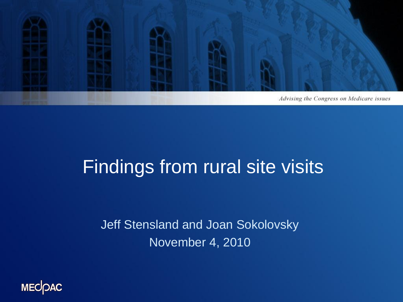

### Findings from rural site visits

Jeff Stensland and Joan Sokolovsky November 4, 2010

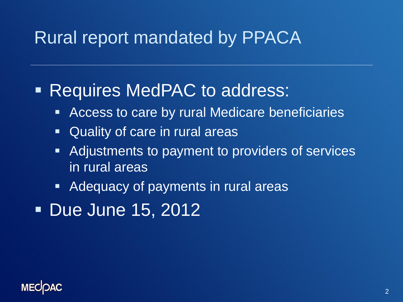#### Rural report mandated by PPACA

#### **Requires MedPAC to address:**

- **Access to care by rural Medicare beneficiaries**
- Quality of care in rural areas
- Adjustments to payment to providers of services in rural areas
- **Adequacy of payments in rural areas**
- **Due June 15, 2012**

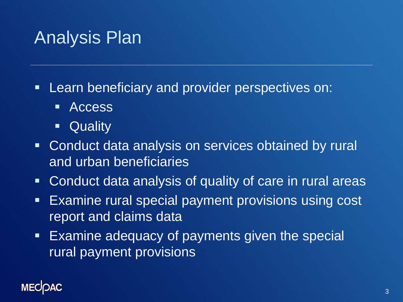#### Analysis Plan

- **Learn beneficiary and provider perspectives on:** 
	- **-** Access
	- **-** Quality
- **Conduct data analysis on services obtained by rural** and urban beneficiaries
- Conduct data analysis of quality of care in rural areas
- **Examine rural special payment provisions using cost** report and claims data
- **Examine adequacy of payments given the special** rural payment provisions

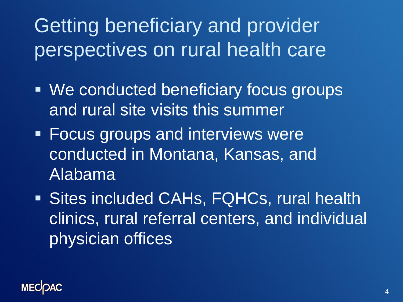Getting beneficiary and provider perspectives on rural health care

- **We conducted beneficiary focus groups** and rural site visits this summer
- **Focus groups and interviews were** conducted in Montana, Kansas, and Alabama
- Sites included CAHs, FQHCs, rural health clinics, rural referral centers, and individual physician offices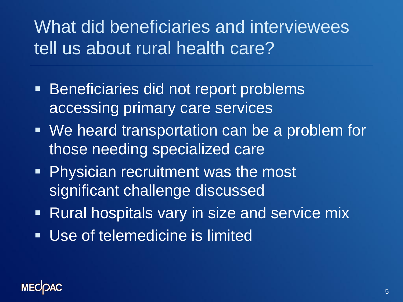What did beneficiaries and interviewees tell us about rural health care?

- **Beneficiaries did not report problems** accessing primary care services
- **We heard transportation can be a problem for** those needing specialized care
- **Physician recruitment was the most** significant challenge discussed
- Rural hospitals vary in size and service mix
- Use of telemedicine is limited

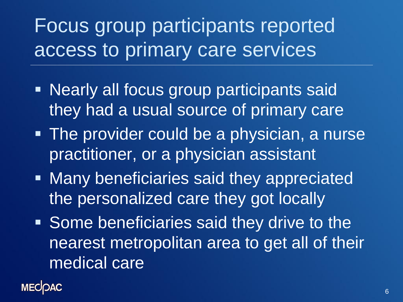Focus group participants reported access to primary care services

- **Nearly all focus group participants said** they had a usual source of primary care
- **The provider could be a physician, a nurse** practitioner, or a physician assistant
- **Many beneficiaries said they appreciated** the personalized care they got locally
- **Some beneficiaries said they drive to the** nearest metropolitan area to get all of their medical care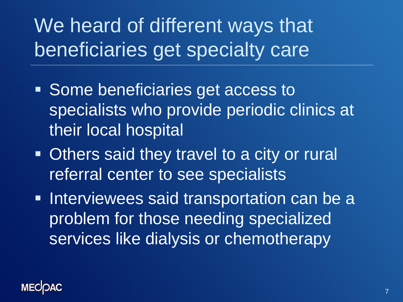We heard of different ways that beneficiaries get specialty care

- Some beneficiaries get access to specialists who provide periodic clinics at their local hospital
- **Others said they travel to a city or rural** referral center to see specialists
- **Interviewees said transportation can be a** problem for those needing specialized services like dialysis or chemotherapy

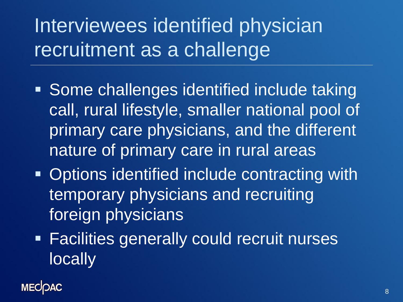Interviewees identified physician recruitment as a challenge

- Some challenges identified include taking call, rural lifestyle, smaller national pool of primary care physicians, and the different nature of primary care in rural areas
- **Options identified include contracting with** temporary physicians and recruiting foreign physicians
- **Facilities generally could recruit nurses locally**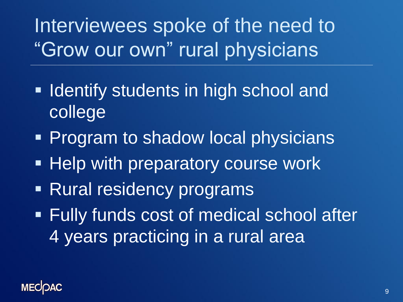Interviewees spoke of the need to "Grow our own" rural physicians

- **If Identify students in high school and** college
- **Program to shadow local physicians**
- **Help with preparatory course work**
- Rural residency programs
- Fully funds cost of medical school after 4 years practicing in a rural area

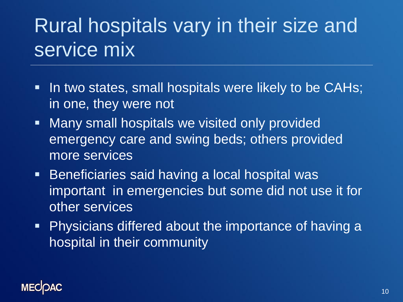# Rural hospitals vary in their size and service mix

- In two states, small hospitals were likely to be CAHs; in one, they were not
- **Nany small hospitals we visited only provided** emergency care and swing beds; others provided more services
- **Beneficiaries said having a local hospital was** important in emergencies but some did not use it for other services
- **Physicians differed about the importance of having a** hospital in their community

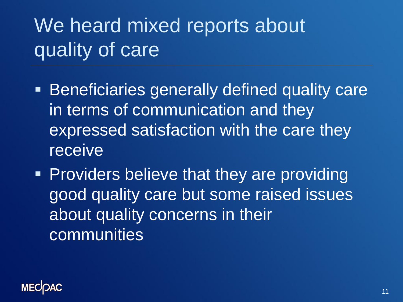# We heard mixed reports about quality of care

- **Beneficiaries generally defined quality care** in terms of communication and they expressed satisfaction with the care they receive
- **Providers believe that they are providing** good quality care but some raised issues about quality concerns in their communities

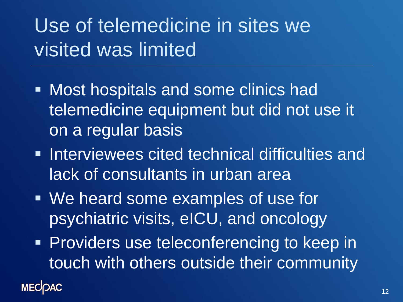# Use of telemedicine in sites we visited was limited

- **Most hospitals and some clinics had** telemedicine equipment but did not use it on a regular basis
- **Interviewees cited technical difficulties and** lack of consultants in urban area
- We heard some examples of use for psychiatric visits, eICU, and oncology
- **Providers use teleconferencing to keep in** touch with others outside their community